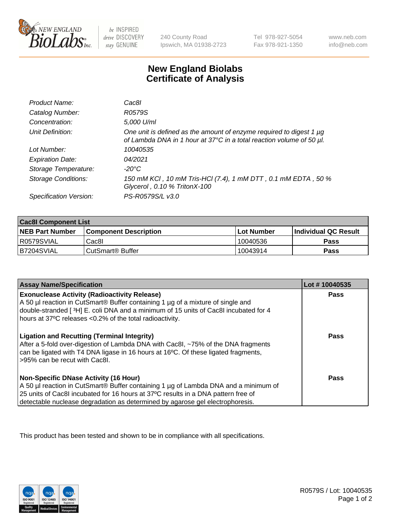

 $be$  INSPIRED drive DISCOVERY stay GENUINE

240 County Road Ipswich, MA 01938-2723 Tel 978-927-5054 Fax 978-921-1350 www.neb.com info@neb.com

## **New England Biolabs Certificate of Analysis**

| Product Name:              | Cac8l                                                                                                                                            |
|----------------------------|--------------------------------------------------------------------------------------------------------------------------------------------------|
| Catalog Number:            | R0579S                                                                                                                                           |
| Concentration:             | 5,000 U/ml                                                                                                                                       |
| Unit Definition:           | One unit is defined as the amount of enzyme required to digest 1 $\mu$ g<br>of Lambda DNA in 1 hour at 37°C in a total reaction volume of 50 µl. |
| Lot Number:                | 10040535                                                                                                                                         |
| <b>Expiration Date:</b>    | 04/2021                                                                                                                                          |
| Storage Temperature:       | -20°C                                                                                                                                            |
| <b>Storage Conditions:</b> | 150 mM KCI, 10 mM Tris-HCI (7.4), 1 mM DTT, 0.1 mM EDTA, 50 %<br>Glycerol, 0.10 % TritonX-100                                                    |
| Specification Version:     | PS-R0579S/L v3.0                                                                                                                                 |

| <b>Cac8I Component List</b> |                              |              |                             |  |
|-----------------------------|------------------------------|--------------|-----------------------------|--|
| <b>NEB Part Number</b>      | <b>Component Description</b> | l Lot Number | <b>Individual QC Result</b> |  |
| I R0579SVIAL                | Cac8I                        | 10040536     | <b>Pass</b>                 |  |
| B7204SVIAL                  | CutSmart <sup>®</sup> Buffer | 10043914     | Pass                        |  |

| <b>Assay Name/Specification</b>                                                                                                                                                                                                                                                                           | Lot #10040535 |
|-----------------------------------------------------------------------------------------------------------------------------------------------------------------------------------------------------------------------------------------------------------------------------------------------------------|---------------|
| <b>Exonuclease Activity (Radioactivity Release)</b><br>A 50 µl reaction in CutSmart® Buffer containing 1 µg of a mixture of single and<br>double-stranded [3H] E. coli DNA and a minimum of 15 units of Cac8I incubated for 4<br>hours at 37°C releases <0.2% of the total radioactivity.                 | Pass          |
| <b>Ligation and Recutting (Terminal Integrity)</b><br>After a 5-fold over-digestion of Lambda DNA with Cac8I, ~75% of the DNA fragments<br>can be ligated with T4 DNA ligase in 16 hours at 16 <sup>o</sup> C. Of these ligated fragments,<br>>95% can be recut with Cac8I.                               | <b>Pass</b>   |
| <b>Non-Specific DNase Activity (16 Hour)</b><br>A 50 µl reaction in CutSmart® Buffer containing 1 µg of Lambda DNA and a minimum of<br>25 units of Cac8I incubated for 16 hours at 37°C results in a DNA pattern free of<br>detectable nuclease degradation as determined by agarose gel electrophoresis. | Pass          |

This product has been tested and shown to be in compliance with all specifications.